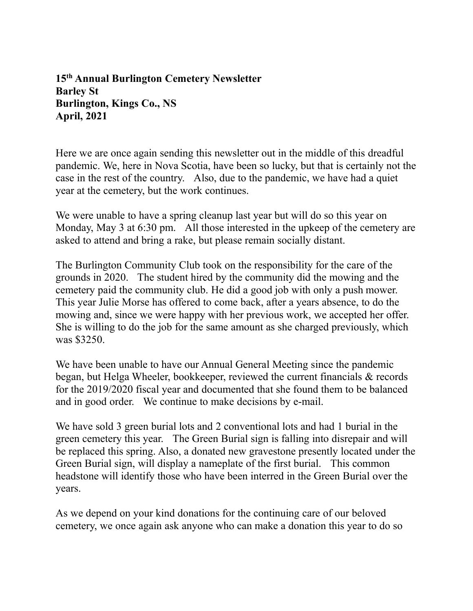**15th Annual Burlington Cemetery Newsletter Barley St Burlington, Kings Co., NS April, 2021**

Here we are once again sending this newsletter out in the middle of this dreadful pandemic. We, here in Nova Scotia, have been so lucky, but that is certainly not the case in the rest of the country. Also, due to the pandemic, we have had a quiet year at the cemetery, but the work continues.

We were unable to have a spring cleanup last year but will do so this year on Monday, May 3 at 6:30 pm. All those interested in the upkeep of the cemetery are asked to attend and bring a rake, but please remain socially distant.

The Burlington Community Club took on the responsibility for the care of the grounds in 2020. The student hired by the community did the mowing and the cemetery paid the community club. He did a good job with only a push mower. This year Julie Morse has offered to come back, after a years absence, to do the mowing and, since we were happy with her previous work, we accepted her offer. She is willing to do the job for the same amount as she charged previously, which was \$3250.

We have been unable to have our Annual General Meeting since the pandemic began, but Helga Wheeler, bookkeeper, reviewed the current financials & records for the 2019/2020 fiscal year and documented that she found them to be balanced and in good order. We continue to make decisions by e-mail.

We have sold 3 green burial lots and 2 conventional lots and had 1 burial in the green cemetery this year. The Green Burial sign is falling into disrepair and will be replaced this spring. Also, a donated new gravestone presently located under the Green Burial sign, will display a nameplate of the first burial. This common headstone will identify those who have been interred in the Green Burial over the years.

As we depend on your kind donations for the continuing care of our beloved cemetery, we once again ask anyone who can make a donation this year to do so